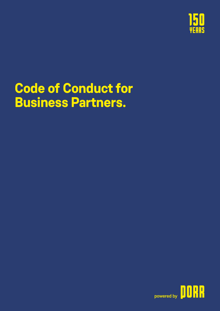

# **Code of Conduct for Business Partners.**

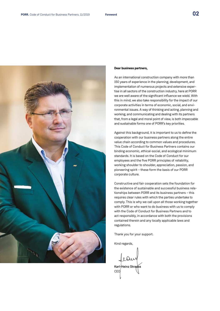

#### **Dear business partners,**

As an international construction company with more than 150 years of experience in the planning, development, and implementation of numerous projects and extensive expertise in all sectors of the construction industry, here at PORR we are well aware of the significant influence we wield. With this in mind, we also take responsibility for the impact of our corporate activities in terms of economic, social, and environmental issues. A way of thinking and acting, planning and working, and communicating and dealing with its partners that, from a legal and moral point of view, is both impeccable and sustainable forms one of PORR's key priorities.

Against this background, it is important to us to define the cooperation with our business partners along the entire value chain according to common values and procedures. This Code of Conduct for Business Partners contains our binding economic, ethical-social, and ecological minimum standards. It is based on the Code of Conduct for our employees and the five PORR principles of reliability, working shoulder to shoulder, appreciation, passion, and pioneering spirit – these form the basis of our PORR corporate culture.

Constructive and fair cooperation sets the foundation for the existence of sustainable and successful business relationships between PORR and its business partners – this requires clear rules with which the parties undertake to comply. This is why we call upon all those working together with PORR or who want to do business with us to comply with the Code of Conduct for Business Partners and to act responsibly, in accordance with both the provisions contained therein and any locally applicable laws and regulations.

Thank you for your support.

Kind regards,

Karl-Heinz Strauss CEO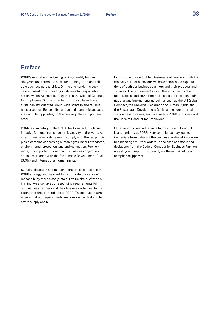## Preface

PORR's reputation has been growing steadily for over 150 years and forms the basis for our long-term and reliable business partnerships. On the one hand, this success is based on our binding guidelines for responsible action, which we have put together in the Code of Conduct for Employees. On the other hand, it is also based on a sustainability-oriented Group-wide strategy and fair business practices. Responsible action and economic success are not polar opposites; on the contrary, they support each other.

PORR is a signatory to the UN Global Compact, the largest initiative for sustainable economic activity in the world. As a result, we have undertaken to comply with the ten principles it contains concerning human rights, labour standards, environmental protection, and anti-corruption. Furthermore, it is important for us that our business objectives are in accordance with the Sustainable Development Goals (SDGs) and international human rights.

Sustainable action and management are essential to our PORR strategy and we want to incorporate our sense of responsibility more closely into our value chain. With this in mind, we also have corresponding requirements for our business partners and their business activities, to the extent that these are related to PORR. These must in turn ensure that our requirements are complied with along the entire supply chain.

In this Code of Conduct for Business Partners, our guide for ethically correct behaviour, we have established expectations of both our business partners and their products and services. The requirements listed therein in terms of economic, social and environmental issues are based on both national and international guidelines such as the UN Global Compact, the Universal Declaration of Human Rights and the Sustainable Development Goals, and on our internal standards and values, such as our five PORR principles and the Code of Conduct for Employees.

Observation of, and adherence to, this Code of Conduct is a top priority at PORR. Non-compliance may lead to an immediate termination of the business relationship or even to a blocking of further orders. In the case of established deviations from the Code of Conduct for Business Partners, we ask you to report this directly via the e-mail address, [compliance@porr.at](mailto:compliance%40porr.at?subject=).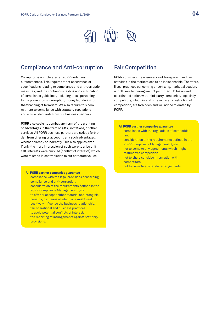

## Compliance and Anti-corruption

Corruption is not tolerated at PORR under any circumstances. This requires strict observance of specifications relating to compliance and anti-corruption measures, and the continuous testing and certification of compliance guidelines, including those pertaining to the prevention of corruption, money laundering, or the financing of terrorism. We also require this commitment to compliance with statutory regulations and ethical standards from our business partners.

PORR also seeks to combat any form of the granting of advantages in the form of gifts, invitations, or other services. All PORR business partners are strictly forbidden from offering or accepting any such advantages, whether directly or indirectly. This also applies even if only the mere impression of such were to arise or if self-interests were pursued (conflict of interests) which were to stand in contradiction to our corporate values.

#### **All PORR partner companies guarantee**

- compliance with the legal provisions concerning compliance and anti-corruption.
- consideration of the requirements defined in the PORR Compliance Management System.
- to offer or accept neither material nor intangible benefits, by means of which one might seek to positively influence the business relationship.
- fair operational and business practices.
- to avoid potential conflicts of interest.
- the reporting of infringements against statutory provisions.

## Fair Competition

PORR considers the observance of transparent and fair activities in the marketplace to be indispensable. Therefore, illegal practices concerning price-fixing, market allocation, or collusive tendering are not permitted. Collusion and coordinated action with third-party companies, especially competitors, which intend or result in any restriction of competition, are forbidden and will not be tolerated by PORR.

#### **All PORR partner companies guarantee**

- compliance with the regulations of competition law.
- consideration of the requirements defined in the PORR Compliance Management System.
- not to come to any agreements which might restrict free competition.
- not to share sensitive information with competitors.
- not to come to any tender arrangements.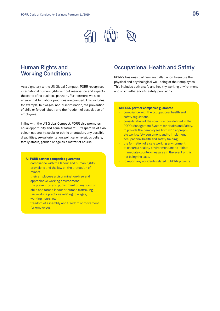

## Human Rights and Working Conditions

As a signatory to the UN Global Compact, PORR recognises international human rights without reservation and expects the same of its business partners. Furthermore, we also ensure that fair labour practices are pursued. This includes, for example, fair wages, non-discrimination, the prevention of child or forced labour, and the freedom of association of employees.

In line with the UN Global Compact, PORR also promotes equal opportunity and equal treatment – irrespective of skin colour, nationality, social or ethnic orientation, any possible disabilities, sexual orientation, political or religious beliefs, family status, gender, or age as a matter of course.

#### **All PORR partner companies guarantee**

- compliance with the labour and human rights provisions and the law on the protection of minors.
- their employees a discrimination-free and appreciative working environment.
- the prevention and punishment of any form of child and forced labour or human trafficking.
- fair working practices relating to wages, working hours, etc.
- freedom of assembly and freedom of movement for employees.

## Occupational Health and Safety

PORR's business partners are called upon to ensure the physical and psychological well-being of their employees. This includes both a safe and healthy working environment and strict adherence to safety provisions.

#### **All PORR partner companies guarantee**

- compliance with the occupational health and safety regulations.
- consideration of the specifications defined in the PORR Management System for Health and Safety.
- to provide their employees both with appropriate work safety equipment and to implement occupational health and safety training.
- the formation of a safe working environment.
- to ensure a healthy environment and to initiate immediate counter-measures in the event of this not being the case.
- to report any accidents related to PORR projects.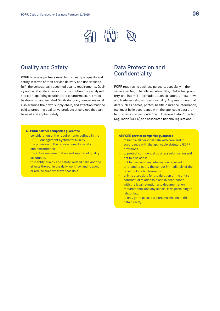

## Quality and Safety

PORR business partners must focus clearly on quality and safety in terms of their service delivery and undertake to fulfil the contractually specified quality requirements. Quality and safety-related risks must be continuously analysed, and corresponding solutions and countermeasures must be drawn up and initiated. While doing so, companies must also examine their own supply chain, and attention must be paid to procuring qualitative products or services that can be used and applied safely.

#### **All PORR partner companies guarantee**

- consideration of the requirements defined in the PORR Management System for Quality.
- $\cdot$  the provision of the required quality, safety, and performance.
- the active implementation and support of quality assurance.
- to identify quality and safety-related risks and the effects thereof in the daily workflow and to avoid or reduce such wherever possible.

## Data Protection and **Confidentiality**

PORR requires its business partners, especially in the service sector, to handle sensitive data, intellectual property, and internal information, such as patents, know-how, and trade secrets, with responsibility. Any use of personal data such as names, photos, health insurance information, etc. must be in accordance with the applicable data protection laws – in particular the EU General Data Protection Regulation (GDPR) and associated national legislations.

#### **All PORR partner companies guarantee**

- to handle all personal data with care and in accordance with the applicable statutory GDPR provisions.
- to protect confidential business information and not to disclose it.
- not to use company information received in error and to notify the sender immediately of the receipt of such information.
- only to store data for the duration of the entire contractual relationship and in accordance with the legal retention and documentation requirements, and any special laws pertaining to labour law.
- to only grant access to persons who need this data directly.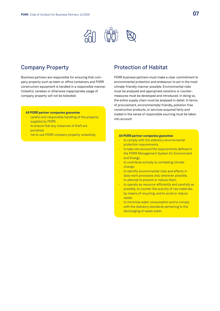

## Company Property

Business partners are responsible for ensuring that company property such as team or office containers and PORR construction equipment is handled in a responsible manner. Unlawful, careless or otherwise inappropriate usage of company property will not be tolerated.

#### **All PORR partner companies guarantee**

- careful and responsible handling of the property supplied by PORR.
- to ensure that any instances of theft are punished.
- not to use PORR company property unlawfully. **All PORR partner companies guarantee**

## Protection of Habitat

PORR business partners must make a clear commitment to environmental protection and endeavour to act in the most climate-friendly manner possible. Environmental risks must be analysed and appropriate solutions or countermeasures must be developed and introduced. In doing so, the entire supply chain must be analysed in detail. In terms of procurement, environmentally friendly, pollution-free construction products, or services acquired fairly and traded in the sense of responsible sourcing must be taken into account.

- to comply with the statutory environmental protection requirements.
- to take into account the requirements defined in the PORR Management System for Environment and Energy.
- to contribute actively to combating climate change.
- to identify environmental risks and effects in daily work processes and, wherever possible, to attempt to prevent or reduce them.
- to operate as resource-efficiently and carefully as possible, to counter the scarcity of raw materials by means of recycling, and to avoid or reduce waste.
- to minimise water consumption and to comply with the statutory standards pertaining to the discharging of waste water.